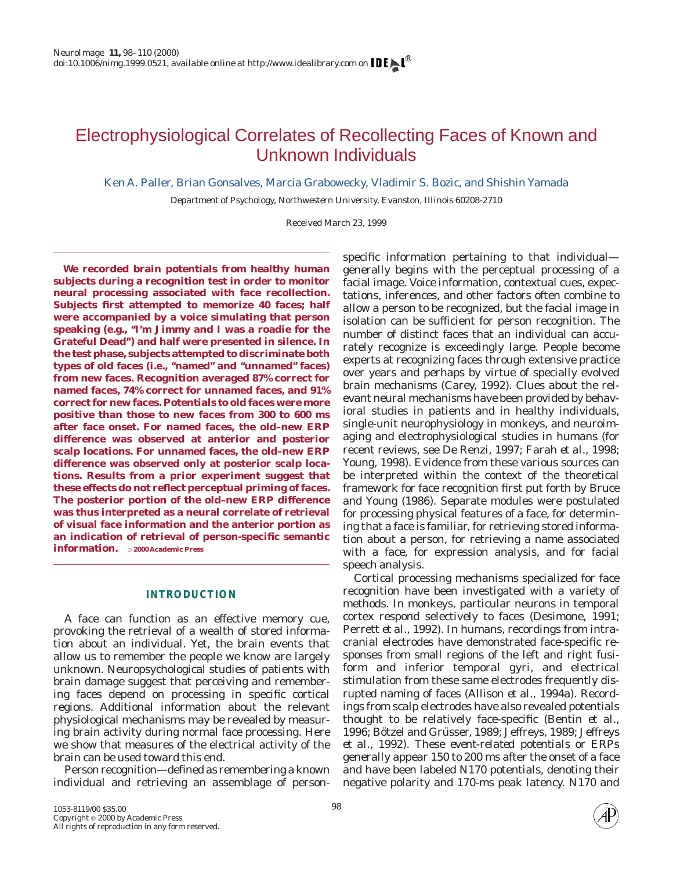# Electrophysiological Correlates of Recollecting Faces of Known and Unknown Individuals

Ken A. Paller, Brian Gonsalves, Marcia Grabowecky, Vladimir S. Bozic, and Shishin Yamada

*Department of Psychology, Northwestern University, Evanston, Illinois 60208-2710*

Received March 23, 1999

**We recorded brain potentials from healthy human subjects during a recognition test in order to monitor neural processing associated with face recollection. Subjects first attempted to memorize 40 faces; half were accompanied by a voice simulating that person speaking (e.g., ''I'm Jimmy and I was a roadie for the Grateful Dead'') and half were presented in silence. In the test phase, subjects attempted to discriminate both types of old faces (i.e., ''named'' and ''unnamed'' faces) from new faces. Recognition averaged 87% correct for named faces, 74% correct for unnamed faces, and 91% correct for new faces. Potentials to old faces were more positive than those to new faces from 300 to 600 ms after face onset. For named faces, the old–new ERP difference was observed at anterior and posterior scalp locations. For unnamed faces, the old–new ERP difference was observed only at posterior scalp locations. Results from a prior experiment suggest that these effects do not reflect perceptual priming of faces. The posterior portion of the old–new ERP difference was thus interpreted as a neural correlate of retrieval of visual face information and the anterior portion as an indication of retrieval of person-specific semantic information.** © 2000 Academic Press

### **INTRODUCTION**

A face can function as an effective memory cue, provoking the retrieval of a wealth of stored information about an individual. Yet, the brain events that allow us to remember the people we know are largely unknown. Neuropsychological studies of patients with brain damage suggest that perceiving and remembering faces depend on processing in specific cortical regions. Additional information about the relevant physiological mechanisms may be revealed by measuring brain activity during normal face processing. Here we show that measures of the electrical activity of the brain can be used toward this end.

Person recognition—defined as remembering a known individual and retrieving an assemblage of personspecific information pertaining to that individual generally begins with the perceptual processing of a facial image. Voice information, contextual cues, expectations, inferences, and other factors often combine to allow a person to be recognized, but the facial image in isolation can be sufficient for person recognition. The number of distinct faces that an individual can accurately recognize is exceedingly large. People become experts at recognizing faces through extensive practice over years and perhaps by virtue of specially evolved brain mechanisms (Carey, 1992). Clues about the relevant neural mechanisms have been provided by behavioral studies in patients and in healthy individuals, single-unit neurophysiology in monkeys, and neuroimaging and electrophysiological studies in humans (for recent reviews, see De Renzi, 1997; Farah *et al.*, 1998; Young, 1998). Evidence from these various sources can be interpreted within the context of the theoretical framework for face recognition first put forth by Bruce and Young (1986). Separate modules were postulated for processing physical features of a face, for determining that a face is familiar, for retrieving stored information about a person, for retrieving a name associated with a face, for expression analysis, and for facial speech analysis.

Cortical processing mechanisms specialized for face recognition have been investigated with a variety of methods. In monkeys, particular neurons in temporal cortex respond selectively to faces (Desimone, 1991; Perrett *et al.*, 1992). In humans, recordings from intracranial electrodes have demonstrated face-specific responses from small regions of the left and right fusiform and inferior temporal gyri, and electrical stimulation from these same electrodes frequently disrupted naming of faces (Allison *et al.*, 1994a). Recordings from scalp electrodes have also revealed potentials thought to be relatively face-specific (Bentin *et al.*, 1996; Bötzel and Grüsser, 1989; Jeffreys, 1989; Jeffreys *et al.*, 1992). These *event-related potentials* or ERPs generally appear 150 to 200 ms after the onset of a face and have been labeled N170 potentials, denoting their negative polarity and 170-ms peak latency. N170 and

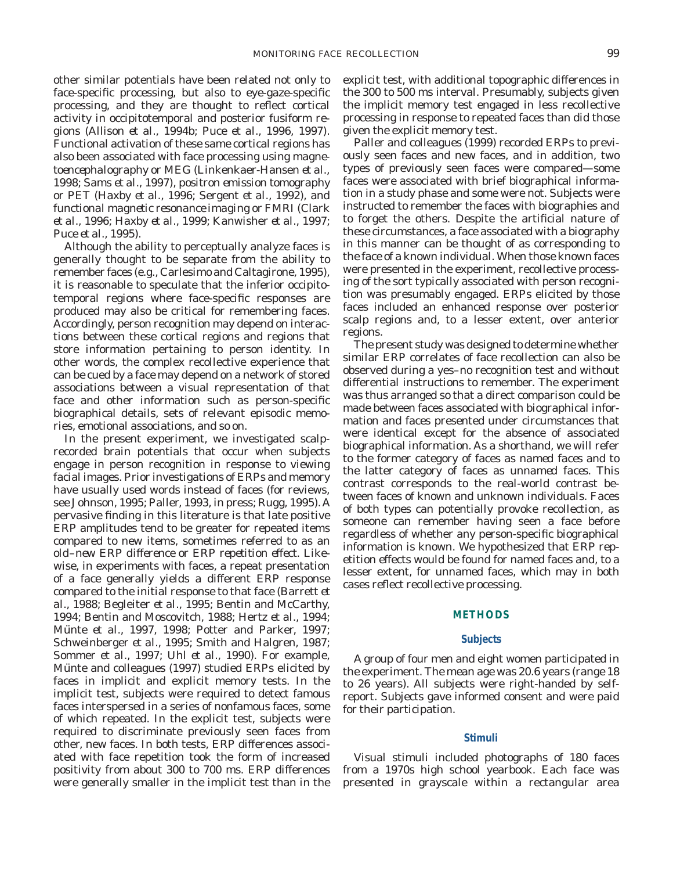other similar potentials have been related not only to face-specific processing, but also to eye-gaze-specific processing, and they are thought to reflect cortical activity in occipitotemporal and posterior fusiform regions (Allison *et al.*, 1994b; Puce *et al.*, 1996, 1997). Functional activation of these same cortical regions has also been associated with face processing using *magnetoencephalography* or MEG (Linkenkaer-Hansen *et al.*, 1998; Sams *et al.*, 1997), *positron emission tomography* or PET (Haxby *et al.*, 1996; Sergent *et al.*, 1992), and *functional magnetic resonance imaging* or FMRI (Clark *et al.*, 1996; Haxby *et al.*, 1999; Kanwisher *et al.*, 1997; Puce *et al.*, 1995).

Although the ability to perceptually analyze faces is generally thought to be separate from the ability to remember faces (e.g., Carlesimo and Caltagirone, 1995), it is reasonable to speculate that the inferior occipitotemporal regions where face-specific responses are produced may also be critical for remembering faces. Accordingly, person recognition may depend on interactions between these cortical regions and regions that store information pertaining to person identity. In other words, the complex recollective experience that can be cued by a face may depend on a network of stored associations between a visual representation of that face and other information such as person-specific biographical details, sets of relevant episodic memories, emotional associations, and so on.

In the present experiment, we investigated scalprecorded brain potentials that occur when subjects engage in person recognition in response to viewing facial images. Prior investigations of ERPs and memory have usually used words instead of faces (for reviews, see Johnson, 1995; Paller, 1993, in press; Rugg, 1995). A pervasive finding in this literature is that late positive ERP amplitudes tend to be greater for repeated items compared to new items, sometimes referred to as an *old*–*new ERP difference* or *ERP repetition effect.* Likewise, in experiments with faces, a repeat presentation of a face generally yields a different ERP response compared to the initial response to that face (Barrett *et al.*, 1988; Begleiter *et al.*, 1995; Bentin and McCarthy, 1994; Bentin and Moscovitch, 1988; Hertz *et al.*, 1994; Münte *et al.*, 1997, 1998; Potter and Parker, 1997; Schweinberger *et al.*, 1995; Smith and Halgren, 1987; Sommer *et al.*, 1997; Uhl *et al.*, 1990). For example, Münte and colleagues (1997) studied ERPs elicited by faces in implicit and explicit memory tests. In the implicit test, subjects were required to detect famous faces interspersed in a series of nonfamous faces, some of which repeated. In the explicit test, subjects were required to discriminate previously seen faces from other, new faces. In both tests, ERP differences associated with face repetition took the form of increased positivity from about 300 to 700 ms. ERP differences were generally smaller in the implicit test than in the

explicit test, with additional topographic differences in the 300 to 500 ms interval. Presumably, subjects given the implicit memory test engaged in less recollective processing in response to repeated faces than did those given the explicit memory test.

Paller and colleagues (1999) recorded ERPs to previously seen faces and new faces, and in addition, two types of previously seen faces were compared—some faces were associated with brief biographical information in a study phase and some were not. Subjects were instructed to remember the faces with biographies and to forget the others. Despite the artificial nature of these circumstances, a face associated with a biography in this manner can be thought of as corresponding to the face of a known individual. When those known faces were presented in the experiment, recollective processing of the sort typically associated with person recognition was presumably engaged. ERPs elicited by those faces included an enhanced response over posterior scalp regions and, to a lesser extent, over anterior regions.

The present study was designed to determine whether similar ERP correlates of face recollection can also be observed during a yes–no recognition test and without differential instructions to remember. The experiment was thus arranged so that a direct comparison could be made between faces associated with biographical information and faces presented under circumstances that were identical except for the absence of associated biographical information. As a shorthand, we will refer to the former category of faces as *named faces* and to the latter category of faces as *unnamed faces.* This contrast corresponds to the real-world contrast between faces of known and unknown individuals. Faces of both types can potentially provoke recollection, as someone can remember having seen a face before regardless of whether any person-specific biographical information is known. We hypothesized that ERP repetition effects would be found for named faces and, to a lesser extent, for unnamed faces, which may in both cases reflect recollective processing.

#### **METHODS**

# **Subjects**

A group of four men and eight women participated in the experiment. The mean age was 20.6 years (range 18 to 26 years). All subjects were right-handed by selfreport. Subjects gave informed consent and were paid for their participation.

#### **Stimuli**

Visual stimuli included photographs of 180 faces from a 1970s high school yearbook. Each face was presented in grayscale within a rectangular area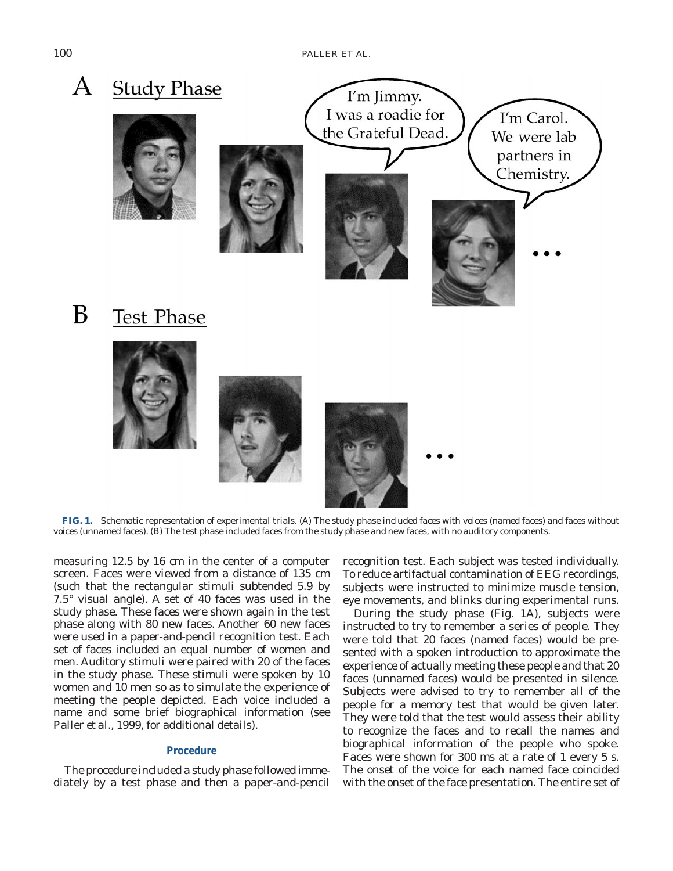



measuring 12.5 by 16 cm in the center of a computer screen. Faces were viewed from a distance of 135 cm (such that the rectangular stimuli subtended 5.9 by 7.5° visual angle). A set of 40 faces was used in the study phase. These faces were shown again in the test phase along with 80 new faces. Another 60 new faces were used in a paper-and-pencil recognition test. Each set of faces included an equal number of women and men. Auditory stimuli were paired with 20 of the faces in the study phase. These stimuli were spoken by 10 women and 10 men so as to simulate the experience of meeting the people depicted. Each voice included a name and some brief biographical information (see Paller *et al.*, 1999, for additional details).

## **Procedure**

The procedure included a study phase followed immediately by a test phase and then a paper-and-pencil recognition test. Each subject was tested individually. To reduce artifactual contamination of EEG recordings, subjects were instructed to minimize muscle tension, eye movements, and blinks during experimental runs.

During the study phase (Fig. 1A), subjects were instructed to try to remember a series of people. They were told that 20 faces (named faces) would be presented with a spoken introduction to approximate the experience of actually meeting these people and that 20 faces (unnamed faces) would be presented in silence. Subjects were advised to try to remember all of the people for a memory test that would be given later. They were told that the test would assess their ability to recognize the faces and to recall the names and biographical information of the people who spoke. Faces were shown for 300 ms at a rate of 1 every 5 s. The onset of the voice for each named face coincided with the onset of the face presentation. The entire set of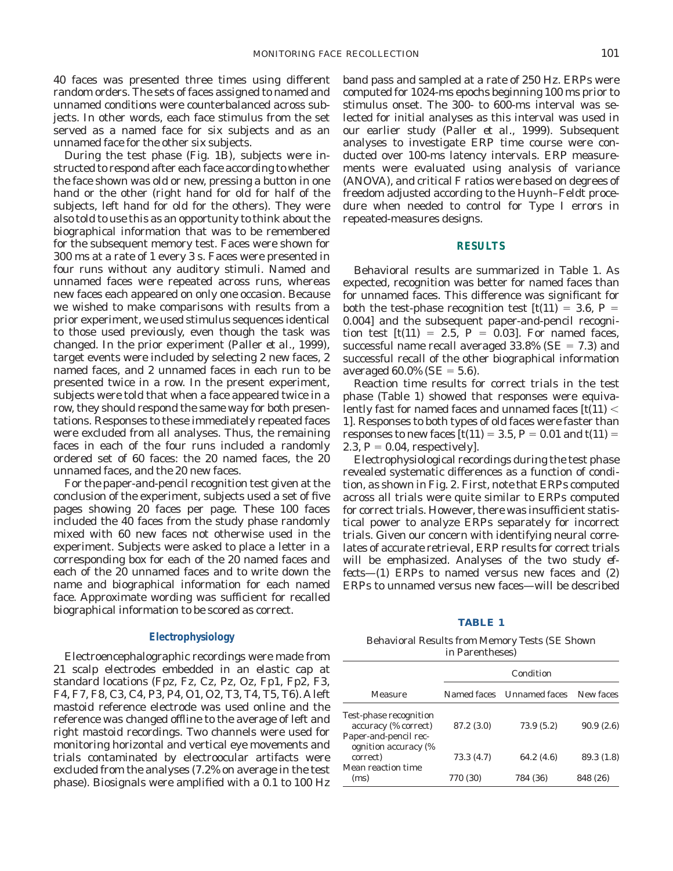40 faces was presented three times using different random orders. The sets of faces assigned to named and unnamed conditions were counterbalanced across subjects. In other words, each face stimulus from the set served as a named face for six subjects and as an unnamed face for the other six subjects.

During the test phase (Fig. 1B), subjects were instructed to respond after each face according to whether the face shown was old or new, pressing a button in one hand or the other (right hand for old for half of the subjects, left hand for old for the others). They were also told to use this as an opportunity to think about the biographical information that was to be remembered for the subsequent memory test. Faces were shown for 300 ms at a rate of 1 every 3 s. Faces were presented in four runs without any auditory stimuli. Named and unnamed faces were repeated across runs, whereas new faces each appeared on only one occasion. Because we wished to make comparisons with results from a prior experiment, we used stimulus sequences identical to those used previously, even though the task was changed. In the prior experiment (Paller *et al.*, 1999), target events were included by selecting 2 new faces, 2 named faces, and 2 unnamed faces in each run to be presented twice in a row. In the present experiment, subjects were told that when a face appeared twice in a row, they should respond the same way for both presentations. Responses to these immediately repeated faces were excluded from all analyses. Thus, the remaining faces in each of the four runs included a randomly ordered set of 60 faces: the 20 named faces, the 20 unnamed faces, and the 20 new faces.

For the paper-and-pencil recognition test given at the conclusion of the experiment, subjects used a set of five pages showing 20 faces per page. These 100 faces included the 40 faces from the study phase randomly mixed with 60 new faces not otherwise used in the experiment. Subjects were asked to place a letter in a corresponding box for each of the 20 named faces and each of the 20 unnamed faces and to write down the name and biographical information for each named face. Approximate wording was sufficient for recalled biographical information to be scored as correct.

# **Electrophysiology**

Electroencephalographic recordings were made from 21 scalp electrodes embedded in an elastic cap at standard locations (Fpz, Fz, Cz, Pz, Oz, Fp1, Fp2, F3, F4, F7, F8, C3, C4, P3, P4, O1, O2, T3, T4, T5, T6). A left mastoid reference electrode was used online and the reference was changed offline to the average of left and right mastoid recordings. Two channels were used for monitoring horizontal and vertical eye movements and trials contaminated by electroocular artifacts were excluded from the analyses (7.2% on average in the test phase). Biosignals were amplified with a 0.1 to 100 Hz band pass and sampled at a rate of 250 Hz. ERPs were computed for 1024-ms epochs beginning 100 ms prior to stimulus onset. The 300- to 600-ms interval was selected for initial analyses as this interval was used in our earlier study (Paller *et al.*, 1999). Subsequent analyses to investigate ERP time course were conducted over 100-ms latency intervals. ERP measurements were evaluated using analysis of variance (ANOVA), and critical *F* ratios were based on degrees of freedom adjusted according to the Huynh–Feldt procedure when needed to control for Type I errors in repeated-measures designs.

#### **RESULTS**

Behavioral results are summarized in Table 1. As expected, recognition was better for named faces than for unnamed faces. This difference was significant for both the test-phase recognition test  $[t(11) = 3.6, P =$ 0.004] and the subsequent paper-and-pencil recognition test  $[t(11) = 2.5, P = 0.03]$ . For named faces, successful name recall averaged  $33.8\%$  (*SE* = 7.3) and successful recall of the other biographical information averaged  $60.0\%$  (*SE* = 5.6).

Reaction time results for correct trials in the test phase (Table 1) showed that responses were equivalently fast for named faces and unnamed faces  $[t(11)$  < 1]. Responses to both types of old faces were faster than responses to new faces  $[t(11) = 3.5, P = 0.01$  and  $t(11) =$ 2.3,  $P = 0.04$ , respectively].

Electrophysiological recordings during the test phase revealed systematic differences as a function of condition, as shown in Fig. 2. First, note that ERPs computed across all trials were quite similar to ERPs computed for correct trials. However, there was insufficient statistical power to analyze ERPs separately for incorrect trials. Given our concern with identifying neural correlates of accurate retrieval, ERP results for correct trials will be emphasized. Analyses of the two *study effects*—(1) ERPs to named versus new faces and (2) ERPs to unnamed versus new faces—will be described

#### **TABLE 1**

Behavioral Results from Memory Tests (*SE* Shown in Parentheses)

| Measure                                                                 | Condition  |                           |            |  |
|-------------------------------------------------------------------------|------------|---------------------------|------------|--|
|                                                                         |            | Named faces Unnamed faces | New faces  |  |
| Test-phase recognition<br>accuracy (% correct)<br>Paper-and-pencil rec- | 87.2 (3.0) | 73.9(5.2)                 | 90.9(2.6)  |  |
| ognition accuracy (%<br>correct)                                        | 73.3 (4.7) | 64.2 (4.6)                | 89.3 (1.8) |  |
| Mean reaction time<br>(ms)                                              | 770 (30)   | 784 (36)                  | 848 (26)   |  |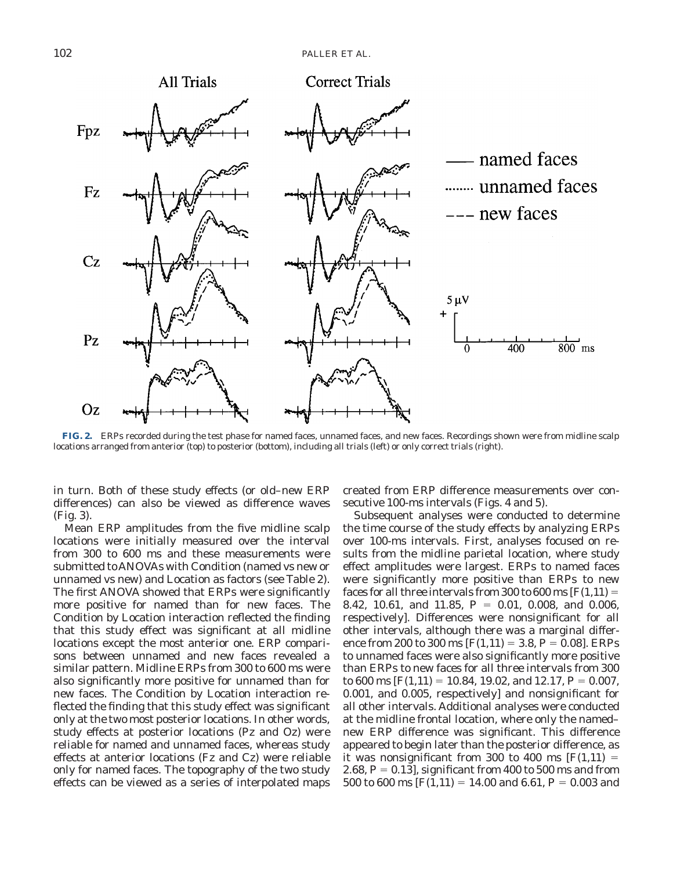

**FIG. 2.** ERPs recorded during the test phase for named faces, unnamed faces, and new faces. Recordings shown were from midline scalp locations arranged from anterior (top) to posterior (bottom), including all trials (left) or only correct trials (right).

in turn. Both of these study effects (or old–new ERP differences) can also be viewed as difference waves (Fig. 3).

Mean ERP amplitudes from the five midline scalp locations were initially measured over the interval from 300 to 600 ms and these measurements were submitted to ANOVAs with Condition (named vs new or unnamed vs new) and Location as factors (see Table 2). The first ANOVA showed that ERPs were significantly more positive for named than for new faces. The Condition by Location interaction reflected the finding that this study effect was significant at all midline locations except the most anterior one. ERP comparisons between unnamed and new faces revealed a similar pattern. Midline ERPs from 300 to 600 ms were also significantly more positive for unnamed than for new faces. The Condition by Location interaction reflected the finding that this study effect was significant only at the two most posterior locations. In other words, study effects at posterior locations (Pz and Oz) were reliable for named and unnamed faces, whereas study effects at anterior locations (Fz and Cz) were reliable only for named faces. The topography of the two study effects can be viewed as a series of interpolated maps

created from ERP difference measurements over consecutive 100-ms intervals (Figs. 4 and 5).

Subsequent analyses were conducted to determine the time course of the study effects by analyzing ERPs over 100-ms intervals. First, analyses focused on results from the midline parietal location, where study effect amplitudes were largest. ERPs to named faces were significantly more positive than ERPs to new faces for all three intervals from 300 to 600 ms  $F(1,11) =$ 8.42, 10.61, and 11.85,  $P = 0.01$ , 0.008, and 0.006, respectively]. Differences were nonsignificant for all other intervals, although there was a marginal difference from 200 to 300 ms  $[F(1,11) = 3.8, P = 0.08]$ . ERPs to unnamed faces were also significantly more positive than ERPs to new faces for all three intervals from 300 to 600 ms  $[F(1,11) = 10.84, 19.02,$  and 12.17,  $P = 0.007$ , 0.001, and 0.005, respectively] and nonsignificant for all other intervals. Additional analyses were conducted at the midline frontal location, where only the named– new ERP difference was significant. This difference appeared to begin later than the posterior difference, as it was nonsignificant from 300 to 400 ms  $[F(1,11) =$ 2.68,  $P = 0.13$ ], significant from 400 to 500 ms and from 500 to 600 ms  $F(1,11) = 14.00$  and 6.61,  $P = 0.003$  and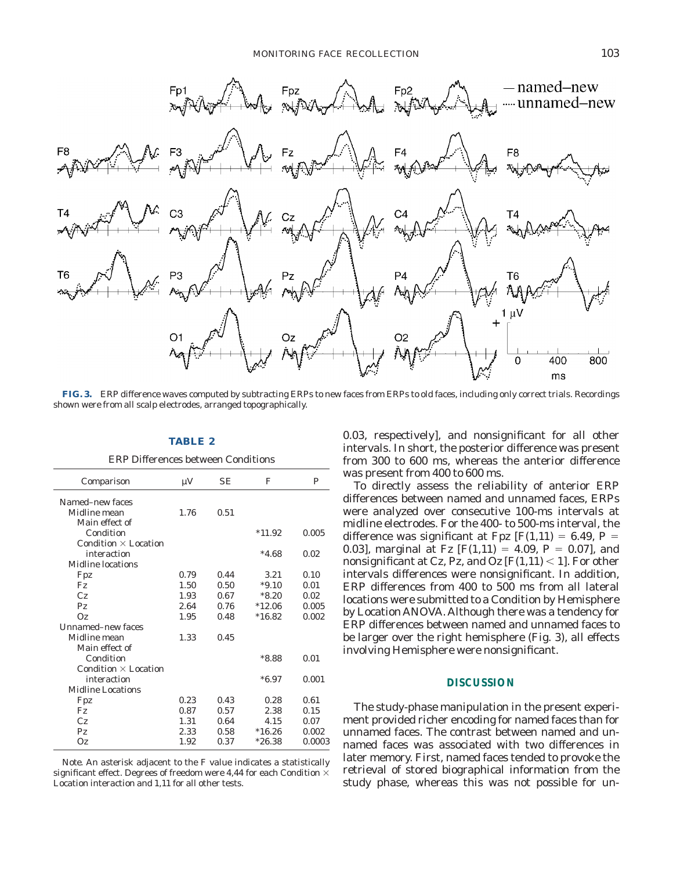

**FIG. 3.** ERP difference waves computed by subtracting ERPs to new faces from ERPs to old faces, including only correct trials. Recordings shown were from all scalp electrodes, arranged topographically.

| ERP DIMETENCES DEUWEEN CONDITIONS |      |      |          |                  |  |  |
|-----------------------------------|------|------|----------|------------------|--|--|
| Comparison                        | μV   | SE   | F        | $\boldsymbol{P}$ |  |  |
| Named-new faces                   |      |      |          |                  |  |  |
| Midline mean                      | 1.76 | 0.51 |          |                  |  |  |
| Main effect of                    |      |      |          |                  |  |  |
| Condition                         |      |      | $*11.92$ | 0.005            |  |  |
| Condition $\times$ Location       |      |      |          |                  |  |  |
| interaction                       |      |      | $*4.68$  | 0.02             |  |  |
| Midline locations                 |      |      |          |                  |  |  |
| Fpz                               | 0.79 | 0.44 | 3.21     | 0.10             |  |  |
| Fz.                               | 1.50 | 0.50 | $*9.10$  | 0.01             |  |  |
| $C_{Z}$                           | 1.93 | 0.67 | $*8.20$  | 0.02             |  |  |
| PZ                                | 2.64 | 0.76 | $*12.06$ | 0.005            |  |  |
| Oz                                | 1.95 | 0.48 | $*16.82$ | 0.002            |  |  |
| Unnamed-new faces                 |      |      |          |                  |  |  |
| Midline mean                      | 1.33 | 0.45 |          |                  |  |  |
| Main effect of                    |      |      |          |                  |  |  |
| Condition                         |      |      | *8.88    | 0.01             |  |  |
| Condition $\times$ Location       |      |      |          |                  |  |  |
| interaction                       |      |      | $*6.97$  | 0.001            |  |  |
| <b>Midline Locations</b>          |      |      |          |                  |  |  |
| Fpz                               | 0.23 | 0.43 | 0.28     | 0.61             |  |  |
| Fz.                               | 0.87 | 0.57 | 2.38     | 0.15             |  |  |
| Cz.                               | 1.31 | 0.64 | 4.15     | 0.07             |  |  |
| PZ                                | 2.33 | 0.58 | $*16.26$ | 0.002            |  |  |
| Oz                                | 1.92 | 0.37 | $*26.38$ | 0.0003           |  |  |

# **TABLE 2**

ERP Differences between Conditions

*Note.* An asterisk adjacent to the *F* value indicates a statistically significant effect. Degrees of freedom were 4,44 for each Condition  $\times$ Location interaction and 1,11 for all other tests.

0.03, respectively], and nonsignificant for all other intervals. In short, the posterior difference was present from 300 to 600 ms, whereas the anterior difference was present from 400 to 600 ms.

To directly assess the reliability of anterior ERP differences between named and unnamed faces, ERPs were analyzed over consecutive 100-ms intervals at midline electrodes. For the 400- to 500-ms interval, the difference was significant at Fpz  $[F(1,11) = 6.49, P =$ 0.03], marginal at Fz  $[F(1,11) = 4.09, P = 0.07]$ , and nonsignificant at Cz, Pz, and Oz  $[F(1,11) < 1]$ . For other intervals differences were nonsignificant. In addition, ERP differences from 400 to 500 ms from all lateral locations were submitted to a Condition by Hemisphere by Location ANOVA. Although there was a tendency for ERP differences between named and unnamed faces to be larger over the right hemisphere (Fig. 3), all effects involving Hemisphere were nonsignificant.

### **DISCUSSION**

The study-phase manipulation in the present experiment provided richer encoding for named faces than for unnamed faces. The contrast between named and unnamed faces was associated with two differences in later memory. First, named faces tended to provoke the retrieval of stored biographical information from the study phase, whereas this was not possible for un-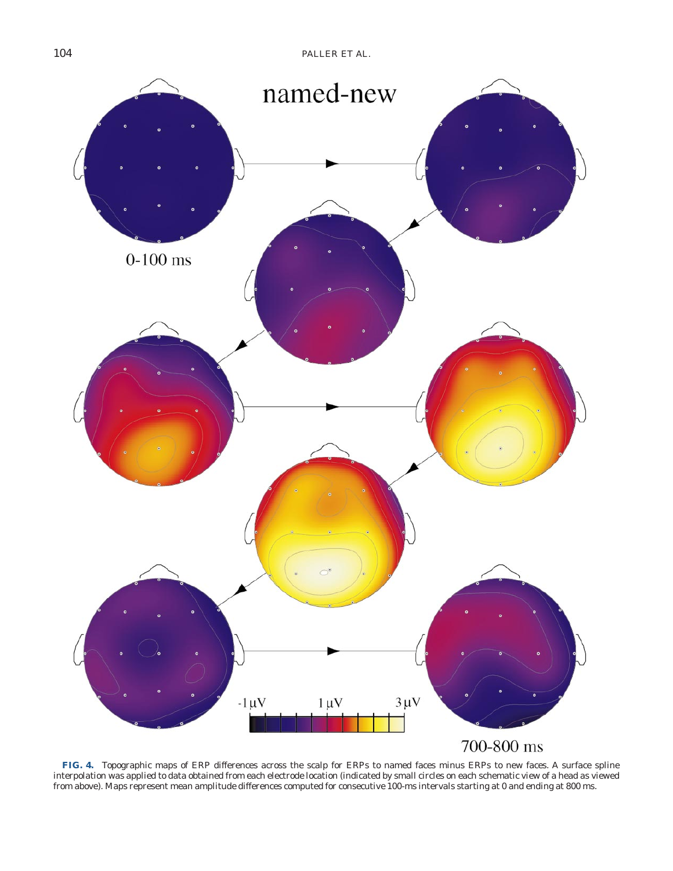

**FIG. 4.** Topographic maps of ERP differences across the scalp for ERPs to named faces minus ERPs to new faces. A surface spline interpolation was applied to data obtained from each electrode location (indicated by small circles on each schematic view of a head as viewed from above). Maps represent mean amplitude differences computed for consecutive 100-ms intervals starting at 0 and ending at 800 ms.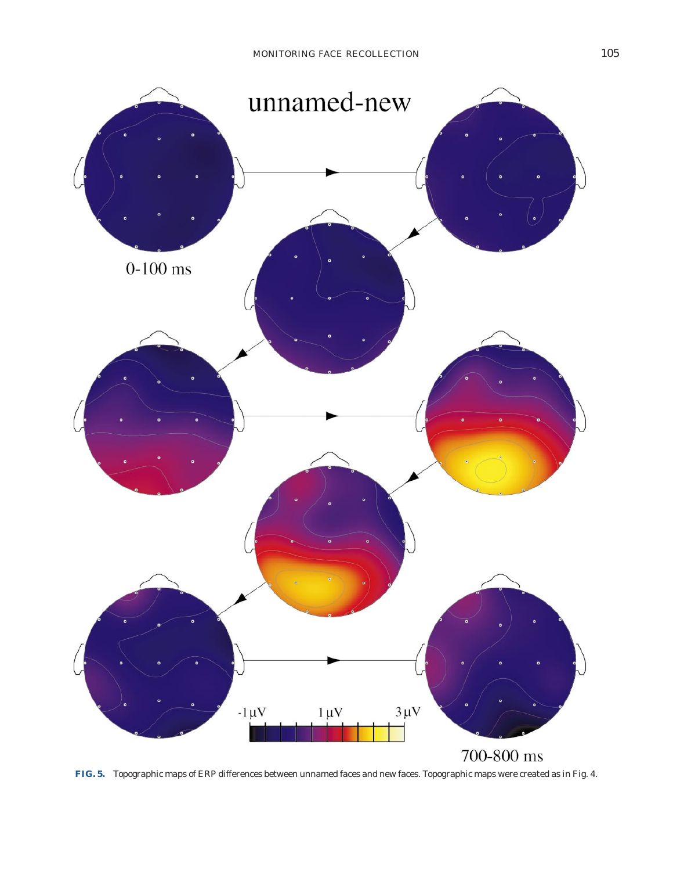

**FIG. 5.** Topographic maps of ERP differences between unnamed faces and new faces. Topographic maps were created as in Fig. 4.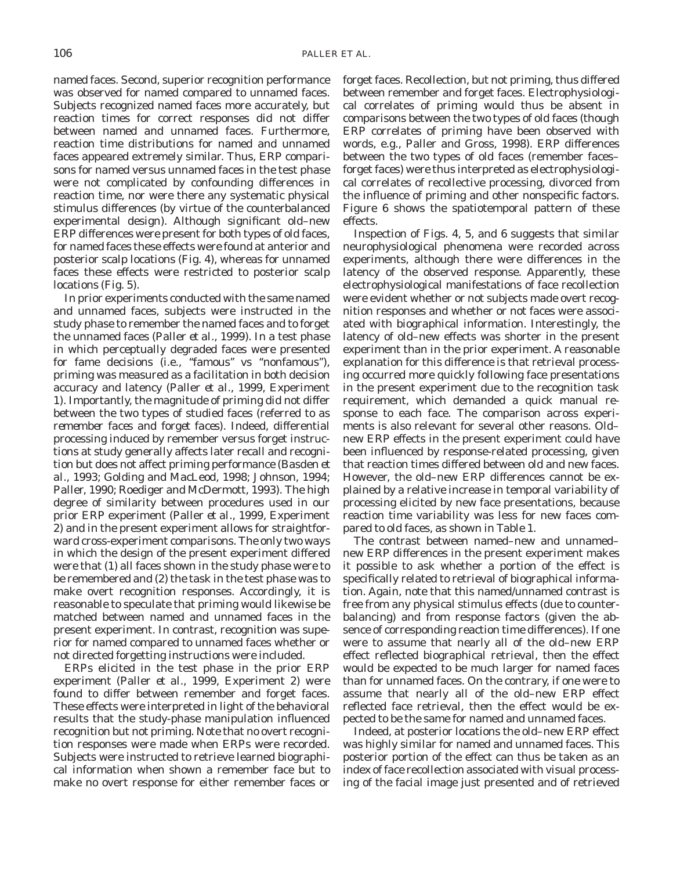106 PALLER ET AL.

named faces. Second, superior recognition performance was observed for named compared to unnamed faces. Subjects recognized named faces more accurately, but reaction times for correct responses did not differ between named and unnamed faces. Furthermore, reaction time distributions for named and unnamed faces appeared extremely similar. Thus, ERP comparisons for named versus unnamed faces in the test phase were not complicated by confounding differences in reaction time, nor were there any systematic physical stimulus differences (by virtue of the counterbalanced experimental design). Although significant old–new ERP differences were present for both types of old faces, for named faces these effects were found at anterior and posterior scalp locations (Fig. 4), whereas for unnamed faces these effects were restricted to posterior scalp locations (Fig. 5).

In prior experiments conducted with the same named and unnamed faces, subjects were instructed in the study phase to remember the named faces and to forget the unnamed faces (Paller *et al.*, 1999). In a test phase in which perceptually degraded faces were presented for fame decisions (i.e., "famous" vs "nonfamous"), priming was measured as a facilitation in both decision accuracy and latency (Paller *et al.*, 1999, Experiment 1). Importantly, the magnitude of priming did not differ between the two types of studied faces (referred to as *remember faces* and *forget faces*). Indeed, differential processing induced by remember versus forget instructions at study generally affects later recall and recognition but does not affect priming performance (Basden *et al.*, 1993; Golding and MacLeod, 1998; Johnson, 1994; Paller, 1990; Roediger and McDermott, 1993). The high degree of similarity between procedures used in our prior ERP experiment (Paller *et al.*, 1999, Experiment 2) and in the present experiment allows for straightforward cross-experiment comparisons. The only two ways in which the design of the present experiment differed were that (1) all faces shown in the study phase were to be remembered and (2) the task in the test phase was to make overt recognition responses. Accordingly, it is reasonable to speculate that priming would likewise be matched between named and unnamed faces in the present experiment. In contrast, recognition was superior for named compared to unnamed faces whether or not directed forgetting instructions were included.

ERPs elicited in the test phase in the prior ERP experiment (Paller *et al.*, 1999, Experiment 2) were found to differ between remember and forget faces. These effects were interpreted in light of the behavioral results that the study-phase manipulation influenced recognition but not priming. Note that no overt recognition responses were made when ERPs were recorded. Subjects were instructed to retrieve learned biographical information when shown a remember face but to make no overt response for either remember faces or

forget faces. Recollection, but not priming, thus differed between remember and forget faces. Electrophysiological correlates of priming would thus be absent in comparisons between the two types of old faces (though ERP correlates of priming have been observed with words, e.g., Paller and Gross, 1998). ERP differences between the two types of old faces (remember faces– forget faces) were thus interpreted as electrophysiological correlates of recollective processing, divorced from the influence of priming and other nonspecific factors. Figure 6 shows the spatiotemporal pattern of these effects.

Inspection of Figs. 4, 5, and 6 suggests that similar neurophysiological phenomena were recorded across experiments, although there were differences in the latency of the observed response. Apparently, these electrophysiological manifestations of face recollection were evident whether or not subjects made overt recognition responses and whether or not faces were associated with biographical information. Interestingly, the latency of old–new effects was shorter in the present experiment than in the prior experiment. A reasonable explanation for this difference is that retrieval processing occurred more quickly following face presentations in the present experiment due to the recognition task requirement, which demanded a quick manual response to each face. The comparison across experiments is also relevant for several other reasons. Old– new ERP effects in the present experiment could have been influenced by response-related processing, given that reaction times differed between old and new faces. However, the old–new ERP differences cannot be explained by a relative increase in temporal variability of processing elicited by new face presentations, because reaction time variability was less for new faces compared to old faces, as shown in Table 1.

The contrast between named–new and unnamed– new ERP differences in the present experiment makes it possible to ask whether a portion of the effect is specifically related to retrieval of biographical information. Again, note that this named/unnamed contrast is free from any physical stimulus effects (due to counterbalancing) and from response factors (given the absence of corresponding reaction time differences). If one were to assume that nearly all of the old–new ERP effect reflected biographical retrieval, then the effect would be expected to be much larger for named faces than for unnamed faces. On the contrary, if one were to assume that nearly all of the old–new ERP effect reflected face retrieval, then the effect would be expected to be the same for named and unnamed faces.

Indeed, at posterior locations the old–new ERP effect was highly similar for named and unnamed faces. This posterior portion of the effect can thus be taken as an index of face recollection associated with visual processing of the facial image just presented and of retrieved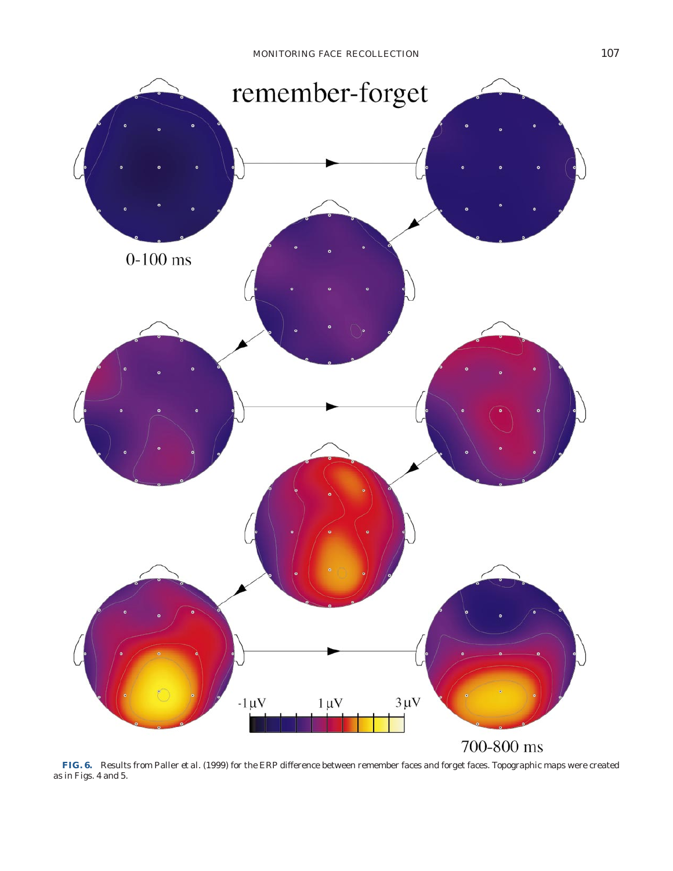

**FIG. 6.** Results from Paller *et al.* (1999) for the ERP difference between remember faces and forget faces. Topographic maps were created as in Figs. 4 and 5.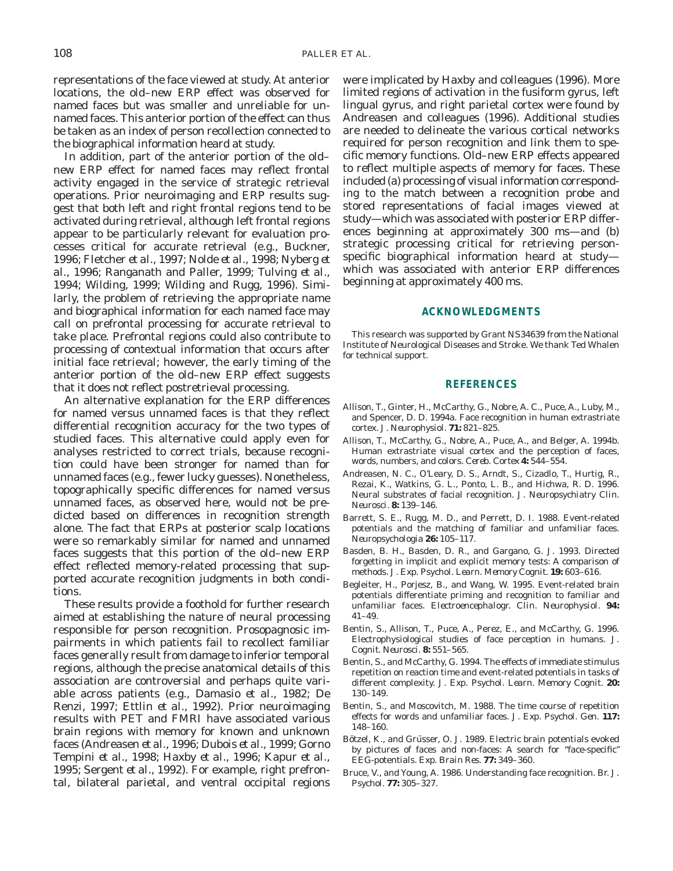108 PALLER ET AL.

representations of the face viewed at study. At anterior locations, the old–new ERP effect was observed for named faces but was smaller and unreliable for unnamed faces. This anterior portion of the effect can thus be taken as an index of person recollection connected to the biographical information heard at study.

In addition, part of the anterior portion of the old– new ERP effect for named faces may reflect frontal activity engaged in the service of strategic retrieval operations. Prior neuroimaging and ERP results suggest that both left and right frontal regions tend to be activated during retrieval, although left frontal regions appear to be particularly relevant for evaluation processes critical for accurate retrieval (e.g., Buckner, 1996; Fletcher *et al.*, 1997; Nolde *et al.*, 1998; Nyberg *et al.*, 1996; Ranganath and Paller, 1999; Tulving *et al.*, 1994; Wilding, 1999; Wilding and Rugg, 1996). Similarly, the problem of retrieving the appropriate name and biographical information for each named face may call on prefrontal processing for accurate retrieval to take place. Prefrontal regions could also contribute to processing of contextual information that occurs after initial face retrieval; however, the early timing of the anterior portion of the old–new ERP effect suggests that it does not reflect postretrieval processing.

An alternative explanation for the ERP differences for named versus unnamed faces is that they reflect differential recognition accuracy for the two types of studied faces. This alternative could apply even for analyses restricted to correct trials, because recognition could have been stronger for named than for unnamed faces (e.g., fewer lucky guesses). Nonetheless, topographically specific differences for named versus unnamed faces, as observed here, would not be predicted based on differences in recognition strength alone. The fact that ERPs at posterior scalp locations were so remarkably similar for named and unnamed faces suggests that this portion of the old–new ERP effect reflected memory-related processing that supported accurate recognition judgments in both conditions.

These results provide a foothold for further research aimed at establishing the nature of neural processing responsible for person recognition. Prosopagnosic impairments in which patients fail to recollect familiar faces generally result from damage to inferior temporal regions, although the precise anatomical details of this association are controversial and perhaps quite variable across patients (e.g., Damasio *et al.*, 1982; De Renzi, 1997; Ettlin *et al.*, 1992). Prior neuroimaging results with PET and FMRI have associated various brain regions with memory for known and unknown faces (Andreasen *et al.*, 1996; Dubois *et al.*, 1999; Gorno Tempini *et al.*, 1998; Haxby *et al.*, 1996; Kapur *et al.*, 1995; Sergent *et al.*, 1992). For example, right prefrontal, bilateral parietal, and ventral occipital regions

were implicated by Haxby and colleagues (1996). More limited regions of activation in the fusiform gyrus, left lingual gyrus, and right parietal cortex were found by Andreasen and colleagues (1996). Additional studies are needed to delineate the various cortical networks required for person recognition and link them to specific memory functions. Old–new ERP effects appeared to reflect multiple aspects of memory for faces. These included (a) processing of visual information corresponding to the match between a recognition probe and stored representations of facial images viewed at study—which was associated with posterior ERP differences beginning at approximately 300 ms—and (b) strategic processing critical for retrieving personspecific biographical information heard at study which was associated with anterior ERP differences beginning at approximately 400 ms.

#### **ACKNOWLEDGMENTS**

This research was supported by Grant NS34639 from the National Institute of Neurological Diseases and Stroke. We thank Ted Whalen for technical support.

#### **REFERENCES**

- Allison, T., Ginter, H., McCarthy, G., Nobre, A. C., Puce, A., Luby, M., and Spencer, D. D. 1994a. Face recognition in human extrastriate cortex. *J. Neurophysiol.* **71:** 821–825.
- Allison, T., McCarthy, G., Nobre, A., Puce, A., and Belger, A. 1994b. Human extrastriate visual cortex and the perception of faces, words, numbers, and colors. *Cereb. Cortex* **4:** 544–554.
- Andreasen, N. C., O'Leary, D. S., Arndt, S., Cizadlo, T., Hurtig, R., Rezai, K., Watkins, G. L., Ponto, L. B., and Hichwa, R. D. 1996. Neural substrates of facial recognition. *J. Neuropsychiatry Clin. Neurosci.* **8:** 139–146.
- Barrett, S. E., Rugg, M. D., and Perrett, D. I. 1988. Event-related potentials and the matching of familiar and unfamiliar faces. *Neuropsychologia* **26:** 105–117.
- Basden, B. H., Basden, D. R., and Gargano, G. J. 1993. Directed forgetting in implicit and explicit memory tests: A comparison of methods. *J. Exp. Psychol. Learn. Memory Cognit.* **19:** 603–616.
- Begleiter, H., Porjesz, B., and Wang, W. 1995. Event-related brain potentials differentiate priming and recognition to familiar and unfamiliar faces. *Electroencephalogr. Clin. Neurophysiol.* **94:** 41–49.
- Bentin, S., Allison, T., Puce, A., Perez, E., and McCarthy, G. 1996. Electrophysiological studies of face perception in humans. *J. Cognit. Neurosci.* **8:** 551–565.
- Bentin, S., and McCarthy, G. 1994. The effects of immediate stimulus repetition on reaction time and event-related potentials in tasks of different complexity. *J. Exp. Psychol. Learn. Memory Cognit.* **20:** 130–149.
- Bentin, S., and Moscovitch, M. 1988. The time course of repetition effects for words and unfamiliar faces. *J. Exp. Psychol. Gen.* **117:** 148–160.
- Bötzel, K., and Grüsser, O. J. 1989. Electric brain potentials evoked by pictures of faces and non-faces: A search for ''face-specific'' EEG-potentials. *Exp. Brain Res.* **77:** 349–360.
- Bruce, V., and Young, A. 1986. Understanding face recognition. *Br. J. Psychol.* **77:** 305–327.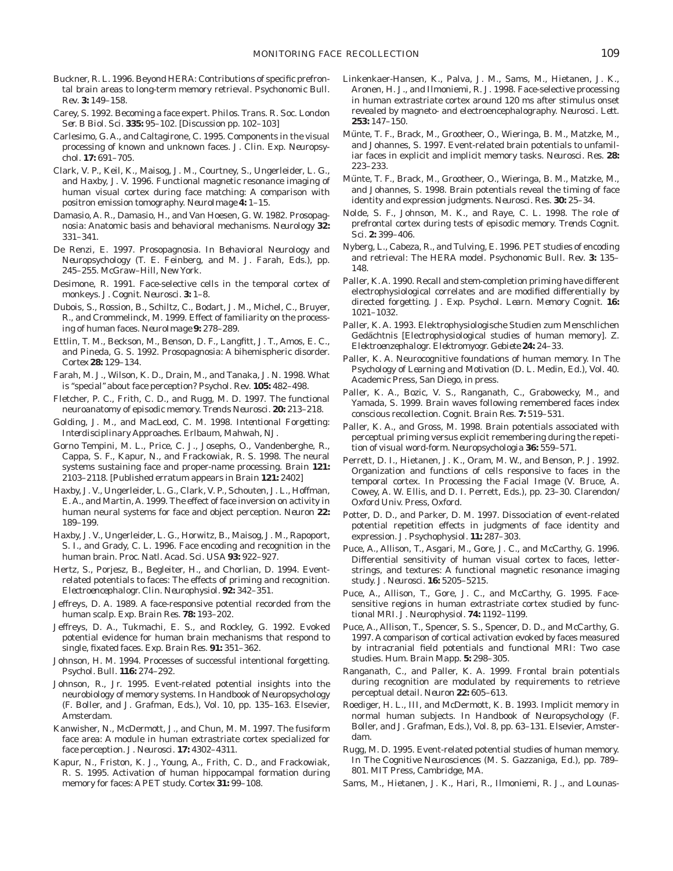- Buckner, R. L. 1996. Beyond HERA: Contributions of specific prefrontal brain areas to long-term memory retrieval. *Psychonomic Bull. Rev.* **3:** 149–158.
- Carey, S. 1992. Becoming a face expert. *Philos. Trans. R. Soc. London Ser. B Biol. Sci.* **335:** 95–102. [Discussion pp. 102–103]
- Carlesimo, G. A., and Caltagirone, C. 1995. Components in the visual processing of known and unknown faces. *J. Clin. Exp. Neuropsychol.* **17:** 691–705.
- Clark, V. P., Keil, K., Maisog, J. M., Courtney, S., Ungerleider, L. G., and Haxby, J. V. 1996. Functional magnetic resonance imaging of human visual cortex during face matching: A comparison with positron emission tomography. *NeuroImage* **4:** 1–15.
- Damasio, A. R., Damasio, H., and Van Hoesen, G. W. 1982. Prosopagnosia: Anatomic basis and behavioral mechanisms. *Neurology* **32:** 331–341.
- De Renzi, E. 1997. Prosopagnosia. In *Behavioral Neurology and Neuropsychology* (T. E. Feinberg, and M. J. Farah, Eds.), pp. 245–255. McGraw–Hill, New York.
- Desimone, R. 1991. Face-selective cells in the temporal cortex of monkeys. *J. Cognit. Neurosci.* **3:** 1–8.
- Dubois, S., Rossion, B., Schiltz, C., Bodart, J. M., Michel, C., Bruyer, R., and Crommelinck, M. 1999. Effect of familiarity on the processing of human faces. *NeuroImage* **9:** 278–289.
- Ettlin, T. M., Beckson, M., Benson, D. F., Langfitt, J. T., Amos, E. C., and Pineda, G. S. 1992. Prosopagnosia: A bihemispheric disorder. *Cortex* **28:** 129–134.
- Farah, M. J., Wilson, K. D., Drain, M., and Tanaka, J. N. 1998. What is ''special'' about face perception? *Psychol. Rev.* **105:** 482–498.
- Fletcher, P. C., Frith, C. D., and Rugg, M. D. 1997. The functional neuroanatomy of episodic memory. *Trends Neurosci.* **20:** 213–218.
- Golding, J. M., and MacLeod, C. M. 1998. *Intentional Forgetting: Interdisciplinary Approaches.* Erlbaum, Mahwah, NJ.
- Gorno Tempini, M. L., Price, C. J., Josephs, O., Vandenberghe, R., Cappa, S. F., Kapur, N., and Frackowiak, R. S. 1998. The neural systems sustaining face and proper-name processing. *Brain* **121:** 2103–2118. [Published erratum appears in *Brain* **121:** 2402]
- Haxby, J. V., Ungerleider, L. G., Clark, V. P., Schouten, J. L., Hoffman, E. A., and Martin, A. 1999. The effect of face inversion on activity in human neural systems for face and object perception. *Neuron* **22:** 189–199.
- Haxby, J. V., Ungerleider, L. G., Horwitz, B., Maisog, J. M., Rapoport, S. I., and Grady, C. L. 1996. Face encoding and recognition in the human brain. *Proc. Natl. Acad. Sci. USA* **93:** 922–927.
- Hertz, S., Porjesz, B., Begleiter, H., and Chorlian, D. 1994. Eventrelated potentials to faces: The effects of priming and recognition. *Electroencephalogr. Clin. Neurophysiol.* **92:** 342–351.
- Jeffreys, D. A. 1989. A face-responsive potential recorded from the human scalp. *Exp. Brain Res.* **78:** 193–202.
- Jeffreys, D. A., Tukmachi, E. S., and Rockley, G. 1992. Evoked potential evidence for human brain mechanisms that respond to single, fixated faces. *Exp. Brain Res.* **91:** 351–362.
- Johnson, H. M. 1994. Processes of successful intentional forgetting. *Psychol. Bull.* **116:** 274–292.
- Johnson, R., Jr. 1995. Event-related potential insights into the neurobiology of memory systems. In *Handbook of Neuropsychology* (F. Boller, and J. Grafman, Eds.), Vol. 10, pp. 135–163. Elsevier, Amsterdam.
- Kanwisher, N., McDermott, J., and Chun, M. M. 1997. The fusiform face area: A module in human extrastriate cortex specialized for face perception. *J. Neurosci.* **17:** 4302–4311.
- Kapur, N., Friston, K. J., Young, A., Frith, C. D., and Frackowiak, R. S. 1995. Activation of human hippocampal formation during memory for faces: A PET study. *Cortex* **31:** 99–108.
- Linkenkaer-Hansen, K., Palva, J. M., Sams, M., Hietanen, J. K., Aronen, H. J., and Ilmoniemi, R. J. 1998. Face-selective processing in human extrastriate cortex around 120 ms after stimulus onset revealed by magneto- and electroencephalography. *Neurosci. Lett.* **253:** 147–150.
- Münte, T. F., Brack, M., Grootheer, O., Wieringa, B. M., Matzke, M., and Johannes, S. 1997. Event-related brain potentials to unfamiliar faces in explicit and implicit memory tasks. *Neurosci. Res.* **28:** 223–233.
- Münte, T. F., Brack, M., Grootheer, O., Wieringa, B. M., Matzke, M., and Johannes, S. 1998. Brain potentials reveal the timing of face identity and expression judgments. *Neurosci. Res.* **30:** 25–34.
- Nolde, S. F., Johnson, M. K., and Raye, C. L. 1998. The role of prefrontal cortex during tests of episodic memory. *Trends Cognit. Sci.* **2:** 399–406.
- Nyberg, L., Cabeza, R., and Tulving, E. 1996. PET studies of encoding and retrieval: The HERA model. *Psychonomic Bull. Rev.* **3:** 135– 148.
- Paller, K. A. 1990. Recall and stem-completion priming have different electrophysiological correlates and are modified differentially by directed forgetting. *J. Exp. Psychol. Learn. Memory Cognit.* **16:** 1021–1032.
- Paller, K. A. 1993. Elektrophysiologische Studien zum Menschlichen Gedächtnis [Electrophysiological studies of human memory]. Z. *Elektroenzephalogr. Elektromyogr. Gebiete* **24:** 24–33.
- Paller, K. A. Neurocognitive foundations of human memory. In *The Psychology of Learning and Motivation* (D. L. Medin, Ed.), Vol. 40. Academic Press, San Diego, in press.
- Paller, K. A., Bozic, V. S., Ranganath, C., Grabowecky, M., and Yamada, S. 1999. Brain waves following remembered faces index conscious recollection. *Cognit. Brain Res.* **7:** 519–531.
- Paller, K. A., and Gross, M. 1998. Brain potentials associated with perceptual priming versus explicit remembering during the repetition of visual word-form. *Neuropsychologia* **36:** 559–571.
- Perrett, D. I., Hietanen, J. K., Oram, M. W., and Benson, P. J. 1992. Organization and functions of cells responsive to faces in the temporal cortex. In *Processing the Facial Image* (V. Bruce, A. Cowey, A. W. Ellis, and D. I. Perrett, Eds.), pp. 23–30. Clarendon/ Oxford Univ. Press, Oxford.
- Potter, D. D., and Parker, D. M. 1997. Dissociation of event-related potential repetition effects in judgments of face identity and expression. *J. Psychophysiol.* **11:** 287–303.
- Puce, A., Allison, T., Asgari, M., Gore, J. C., and McCarthy, G. 1996. Differential sensitivity of human visual cortex to faces, letterstrings, and textures: A functional magnetic resonance imaging study. *J. Neurosci.* **16:** 5205–5215.
- Puce, A., Allison, T., Gore, J. C., and McCarthy, G. 1995. Facesensitive regions in human extrastriate cortex studied by functional MRI. *J. Neurophysiol.* **74:** 1192–1199.
- Puce, A., Allison, T., Spencer, S. S., Spencer, D. D., and McCarthy, G. 1997. A comparison of cortical activation evoked by faces measured by intracranial field potentials and functional MRI: Two case studies. *Hum. Brain Mapp.* **5:** 298–305.
- Ranganath, C., and Paller, K. A. 1999. Frontal brain potentials during recognition are modulated by requirements to retrieve perceptual detail. *Neuron* **22:** 605–613.
- Roediger, H. L., III, and McDermott, K. B. 1993. Implicit memory in normal human subjects. In *Handbook of Neuropsychology* (F. Boller, and J. Grafman, Eds.), Vol. 8, pp. 63–131. Elsevier, Amsterdam.
- Rugg, M. D. 1995. Event-related potential studies of human memory. In *The Cognitive Neurosciences* (M. S. Gazzaniga, Ed.), pp. 789– 801. MIT Press, Cambridge, MA.
- Sams, M., Hietanen, J. K., Hari, R., Ilmoniemi, R. J., and Lounas-